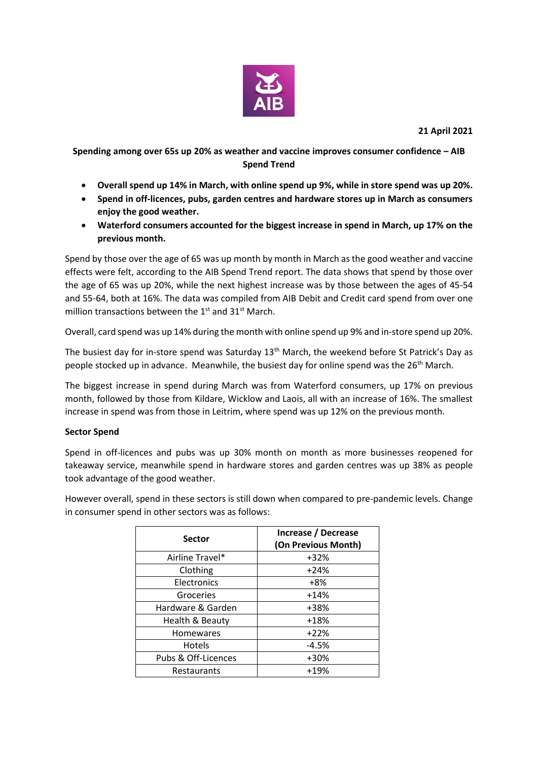

**21 April 2021**

**Spending among over 65s up 20% as weather and vaccine improves consumer confidence – AIB Spend Trend**

- **Overall spend up 14% in March, with online spend up 9%, while in store spend was up 20%.**
- **Spend in off-licences, pubs, garden centres and hardware stores up in March as consumers enjoy the good weather.**
- **Waterford consumers accounted for the biggest increase in spend in March, up 17% on the previous month.**

Spend by those over the age of 65 was up month by month in March as the good weather and vaccine effects were felt, according to the AIB Spend Trend report. The data shows that spend by those over the age of 65 was up 20%, while the next highest increase was by those between the ages of 45-54 and 55-64, both at 16%. The data was compiled from AIB Debit and Credit card spend from over one million transactions between the  $1<sup>st</sup>$  and  $31<sup>st</sup>$  March.

Overall, card spend was up 14% during the month with online spend up 9% and in-store spend up 20%.

The busiest day for in-store spend was Saturday 13<sup>th</sup> March, the weekend before St Patrick's Day as people stocked up in advance. Meanwhile, the busiest day for online spend was the 26<sup>th</sup> March.

The biggest increase in spend during March was from Waterford consumers, up 17% on previous month, followed by those from Kildare, Wicklow and Laois, all with an increase of 16%. The smallest increase in spend was from those in Leitrim, where spend was up 12% on the previous month.

## **Sector Spend**

Spend in off-licences and pubs was up 30% month on month as more businesses reopened for takeaway service, meanwhile spend in hardware stores and garden centres was up 38% as people took advantage of the good weather.

However overall, spend in these sectors is still down when compared to pre-pandemic levels. Change in consumer spend in other sectors was as follows:

| <b>Sector</b>       | Increase / Decrease<br>(On Previous Month) |
|---------------------|--------------------------------------------|
| Airline Travel*     | $+32%$                                     |
| Clothing            | $+24%$                                     |
| Electronics         | +8%                                        |
| Groceries           | $+14%$                                     |
| Hardware & Garden   | +38%                                       |
| Health & Beauty     | $+18%$                                     |
| <b>Homewares</b>    | $+22%$                                     |
| <b>Hotels</b>       | $-4.5%$                                    |
| Pubs & Off-Licences | +30%                                       |
| Restaurants         | $+19%$                                     |